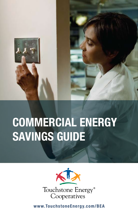

# COMMERCIAL ENERGY SAVINGS GUIDE



www.TouchstoneEnergy.com/BEA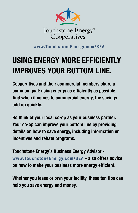

www.TouchstoneEnergy.com/BEA

## USING ENERGY MORE EFFICIENTLY IMPROVES YOUR BOTTOM LINE.

Cooperatives and their commercial members share a common goal: using energy as efficiently as possible. And when it comes to commercial energy, the savings add up quickly.

So think of your local co-op as your business partner. Your co-op can improve your bottom line by providing details on how to save energy, including information on incentives and rebate programs.

Touchstone Energy's Business Energy Advisor www.TouchstoneEnergy.com/BEA - also offers advice on how to make your business more energy efficient.

Whether you lease or own your facility, these ten tips can help you save energy and money.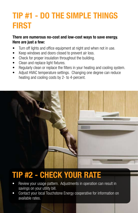#### TIP #1 - DO THE SIMPLE THINGS FIRST

#### There are numerous no-cost and low-cost ways to save energy. Here are just a few:

- Turn off lights and office equipment at night and when not in use.
- Keep windows and doors closed to prevent air loss.
- Check for proper insulation throughout the building.
- Clean and replace light fixtures.
- Regularly clean or replace the filters in your heating and cooling system.
- Adjust HVAC temperature settings. Changing one degree can reduce heating and cooling costs by 2- to 4-percent.



#### TIP #2 - CHECK YOUR RATE

- Review your usage pattern. Adjustments in operation can result in savings on your utility bill.
- Contact your local Touchstone Energy cooperative for information on available rates.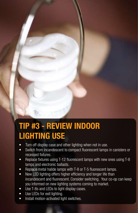#### TIP #3 - REVIEW INDOOR LIGHTING USE

- Turn off display case and other lighting when not in use.
- Switch from incandescent to compact fluorescent lamps in canisters or recessed fixtures.
- Replace fixtures using T-12 fluorescent lamps with new ones using T-8 lamps and electronic ballasts.
- Replace metal halide lamps with T-8 or T-5 fluorescent lamps.
- New LED lighting offers higher efficiency and longer life than incandescent and fluorescent. Consider switching. Your co-op can keep you informed on new lighting systems coming to market.
- Use T-8s and LEDs to light display cases.
- Use LEDs for exit lighting.
- Install motion-activated light switches.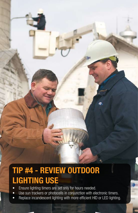### TIP #4 - REVIEW OUTDOOR LIGHTING USE

- Ensure lighting timers are set only for hours needed.
- Use sun trackers or photocells in conjunction with electronic timers.

e

• Replace incandescent lighting with more efficient HID or LED lighting.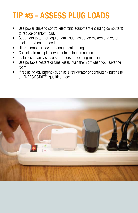#### TIP #5 - ASSESS PLUG LOADS

- Use power strips to control electronic equipment (including computers) to reduce phantom load.
- Set timers to turn off equipment such as coffee makers and water coolers - when not needed.
- Utilize computer power management settings.
- Consolidate multiple servers into a single machine.
- Install occupancy sensors or timers on vending machines.
- Use portable heaters or fans wisely: turn them off when you leave the room.
- If replacing equipment such as a refrigerator or computer purchase an ENERGY STAR<sup>®</sup>- qualified model.

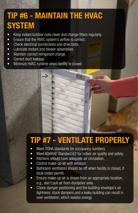#### TIP #6 - MAINTAIN THE HVAC **SYSTEM**

- Keep indoor/outdoor coils clean and change filters regularly.
- Ensure that the HVAC system's airflow is correct.
- Check electrical connections and drive belts.
- Lubricate motors and blower assemblies.
- Maintain correct refrigerant charge.
- Correct duct leakage.
- Minimize HVAC runtime when facility is closed.

د

#### TIP #7 - VENTILATE PROPERLY

- Meet OSHA standards for occupancy numbers.
- Meet ASHRAE Standard 62 for indoor air quality and safety.
- Kitchens should have adequate air circulation.
- Control make-up air with exhaust.
- Bathroom ventilators should be off when facility is closed, if local codes permit.
- Ensure make-up air is drawn from an appropriate location, e.g., don't pull air from dumpster area.
- Check damper positioning and the building envelope's air tightness; stuck dampers and a leaky building can result in over-ventilation, which wastes energy.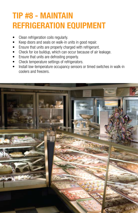#### TIP #8 - MAINTAIN REFRIGERATION EQUIPMENT

- Clean refrigeration coils regularly.
- Keep doors and seals on walk-in units in good repair.
- Ensure that units are properly charged with refrigerant.
- Check for ice buildup, which can occur because of air leakage.
- Ensure that units are defrosting properly.
- Check temperature settings of refrigerators.
- Install low-temperature occupancy sensors or timed switches in walk-in coolers and freezers.

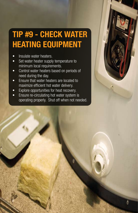#### TIP #9 - CHECK WATER HEATING EQUIPMENT

- Insulate water heaters.
- Set water heater supply temperature to minimum local requirements.
- • Control water heaters based on periods of need during the day.
- Ensure that water heaters are located to maximize efficient hot water delivery.
- Explore opportunities for heat recovery.
- Ensure re-circulating hot water system is operating properly. Shut off when not needed.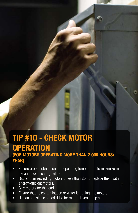#### TIP #10 - CHECK MOTOR **OPERATION** (FOR MOTORS OPERATING MORE THAN 2,000 HOURS/ YEAR)

- Ensure proper lubrication and operating temperature to maximize motor life and avoid bearing failure.
- Rather than rewinding motors of less than 25 hp, replace them with energy-efficient motors.
- Size motors for the load.
- Ensure that no contamination or water is getting into motors.
- Use an adjustable speed drive for motor-driven equipment.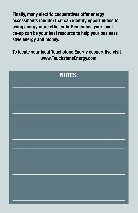Finally, many electric cooperatives offer energy assessments (audits) that can identify opportunities for using energy more efficiently. Remember, your local co-op can be your best resource to help your business save energy and money.

To locate your local Touchstone Energy cooperative visit www.TouchstoneEnergy.com.